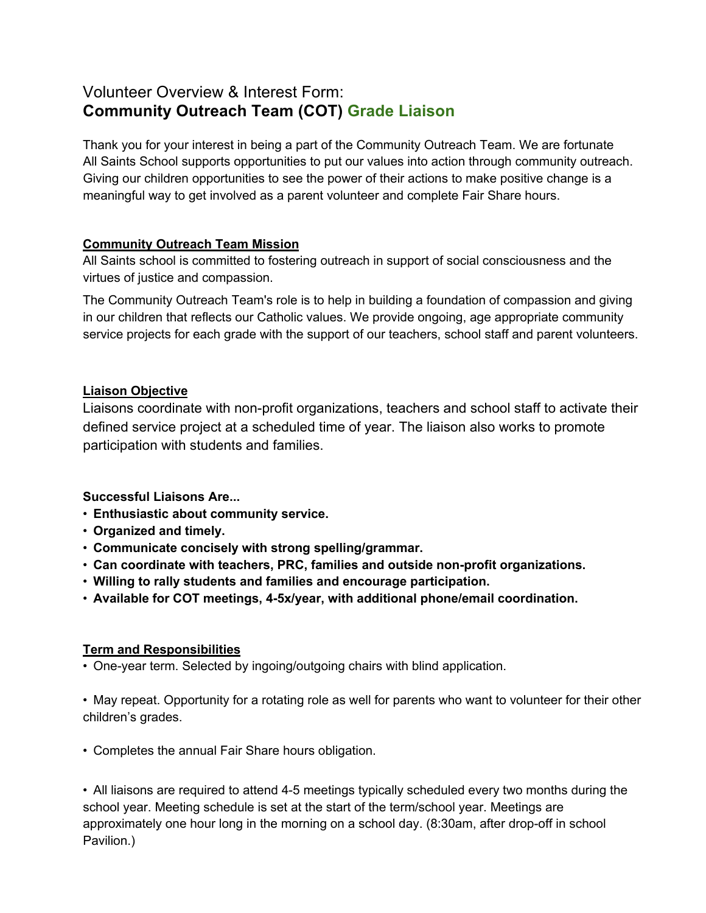# Volunteer Overview & Interest Form: **Community Outreach Team (COT) Grade Liaison**

Thank you for your interest in being a part of the Community Outreach Team. We are fortunate All Saints School supports opportunities to put our values into action through community outreach. Giving our children opportunities to see the power of their actions to make positive change is a meaningful way to get involved as a parent volunteer and complete Fair Share hours.

# **Community Outreach Team Mission**

All Saints school is committed to fostering outreach in support of social consciousness and the virtues of justice and compassion.

The Community Outreach Team's role is to help in building a foundation of compassion and giving in our children that reflects our Catholic values. We provide ongoing, age appropriate community service projects for each grade with the support of our teachers, school staff and parent volunteers.

# **Liaison Objective**

Liaisons coordinate with non-profit organizations, teachers and school staff to activate their defined service project at a scheduled time of year. The liaison also works to promote participation with students and families.

# **Successful Liaisons Are...**

- **Enthusiastic about community service.**
- **Organized and timely.**
- **Communicate concisely with strong spelling/grammar.**
- **Can coordinate with teachers, PRC, families and outside non-profit organizations.**
- **Willing to rally students and families and encourage participation.**
- **Available for COT meetings, 4-5x/year, with additional phone/email coordination.**

# **Term and Responsibilities**

• One-year term. Selected by ingoing/outgoing chairs with blind application.

• May repeat. Opportunity for a rotating role as well for parents who want to volunteer for their other children's grades.

• Completes the annual Fair Share hours obligation.

• All liaisons are required to attend 4-5 meetings typically scheduled every two months during the school year. Meeting schedule is set at the start of the term/school year. Meetings are approximately one hour long in the morning on a school day. (8:30am, after drop-off in school Pavilion.)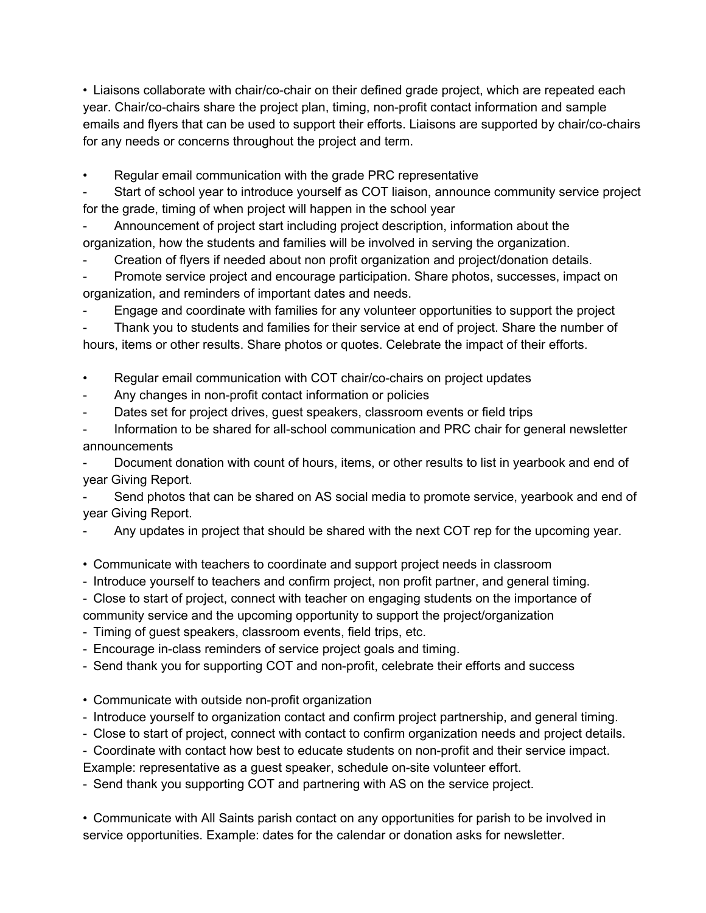• Liaisons collaborate with chair/co-chair on their defined grade project, which are repeated each year. Chair/co-chairs share the project plan, timing, non-profit contact information and sample emails and flyers that can be used to support their efforts. Liaisons are supported by chair/co-chairs for any needs or concerns throughout the project and term.

Regular email communication with the grade PRC representative

Start of school year to introduce yourself as COT liaison, announce community service project for the grade, timing of when project will happen in the school year

- Announcement of project start including project description, information about the organization, how the students and families will be involved in serving the organization.

Creation of flyers if needed about non profit organization and project/donation details.

Promote service project and encourage participation. Share photos, successes, impact on organization, and reminders of important dates and needs.

Engage and coordinate with families for any volunteer opportunities to support the project

Thank you to students and families for their service at end of project. Share the number of hours, items or other results. Share photos or quotes. Celebrate the impact of their efforts.

• Regular email communication with COT chair/co-chairs on project updates

- Any changes in non-profit contact information or policies
- Dates set for project drives, guest speakers, classroom events or field trips
- Information to be shared for all-school communication and PRC chair for general newsletter announcements

Document donation with count of hours, items, or other results to list in yearbook and end of year Giving Report.

Send photos that can be shared on AS social media to promote service, yearbook and end of year Giving Report.

- Any updates in project that should be shared with the next COT rep for the upcoming year.
- Communicate with teachers to coordinate and support project needs in classroom
- Introduce yourself to teachers and confirm project, non profit partner, and general timing.
- Close to start of project, connect with teacher on engaging students on the importance of

community service and the upcoming opportunity to support the project/organization

- Timing of guest speakers, classroom events, field trips, etc.
- Encourage in-class reminders of service project goals and timing.
- Send thank you for supporting COT and non-profit, celebrate their efforts and success
- Communicate with outside non-profit organization
- Introduce yourself to organization contact and confirm project partnership, and general timing.
- Close to start of project, connect with contact to confirm organization needs and project details.

- Coordinate with contact how best to educate students on non-profit and their service impact.

Example: representative as a guest speaker, schedule on-site volunteer effort.

- Send thank you supporting COT and partnering with AS on the service project.

• Communicate with All Saints parish contact on any opportunities for parish to be involved in service opportunities. Example: dates for the calendar or donation asks for newsletter.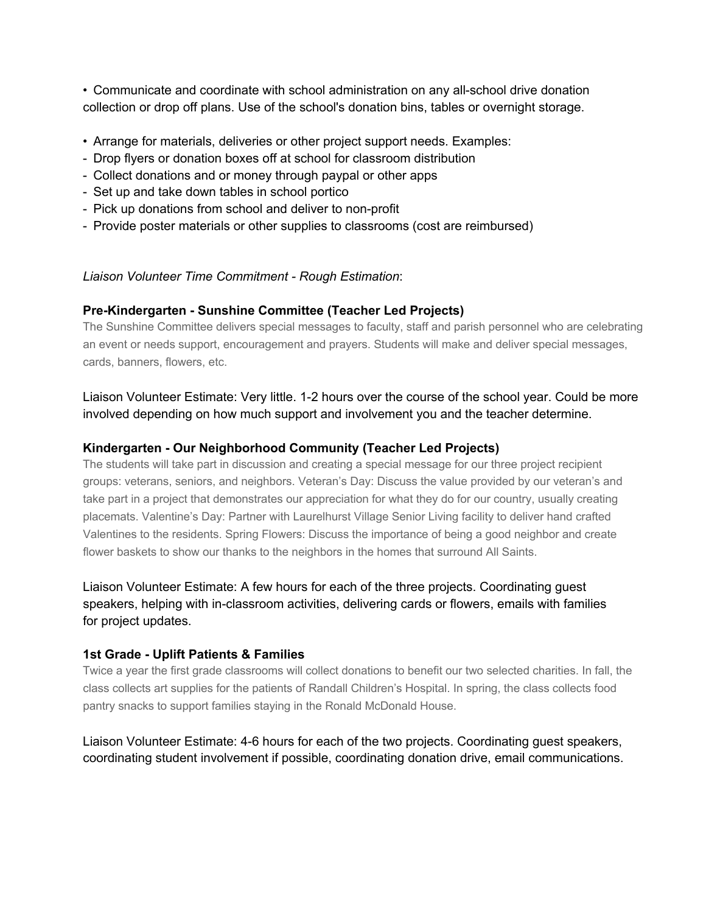• Communicate and coordinate with school administration on any all-school drive donation collection or drop off plans. Use of the school's donation bins, tables or overnight storage.

- Arrange for materials, deliveries or other project support needs. Examples:
- Drop flyers or donation boxes off at school for classroom distribution
- Collect donations and or money through paypal or other apps
- Set up and take down tables in school portico
- Pick up donations from school and deliver to non-profit
- Provide poster materials or other supplies to classrooms (cost are reimbursed)

#### *Liaison Volunteer Time Commitment - Rough Estimation*:

#### **Pre-Kindergarten - Sunshine Committee (Teacher Led Projects)**

The Sunshine Committee delivers special messages to faculty, staff and parish personnel who are celebrating an event or needs support, encouragement and prayers. Students will make and deliver special messages, cards, banners, flowers, etc.

Liaison Volunteer Estimate: Very little. 1-2 hours over the course of the school year. Could be more involved depending on how much support and involvement you and the teacher determine.

#### **Kindergarten - Our Neighborhood Community (Teacher Led Projects)**

The students will take part in discussion and creating a special message for our three project recipient groups: veterans, seniors, and neighbors. Veteran's Day: Discuss the value provided by our veteran's and take part in a project that demonstrates our appreciation for what they do for our country, usually creating placemats. Valentine's Day: Partner with Laurelhurst Village Senior Living facility to deliver hand crafted Valentines to the residents. Spring Flowers: Discuss the importance of being a good neighbor and create flower baskets to show our thanks to the neighbors in the homes that surround All Saints.

Liaison Volunteer Estimate: A few hours for each of the three projects. Coordinating guest speakers, helping with in-classroom activities, delivering cards or flowers, emails with families for project updates.

#### **1st Grade - Uplift Patients & Families**

Twice a year the first grade classrooms will collect donations to benefit our two selected charities. In fall, the class collects art supplies for the patients of Randall Children's Hospital. In spring, the class collects food pantry snacks to support families staying in the Ronald McDonald House.

Liaison Volunteer Estimate: 4-6 hours for each of the two projects. Coordinating guest speakers, coordinating student involvement if possible, coordinating donation drive, email communications.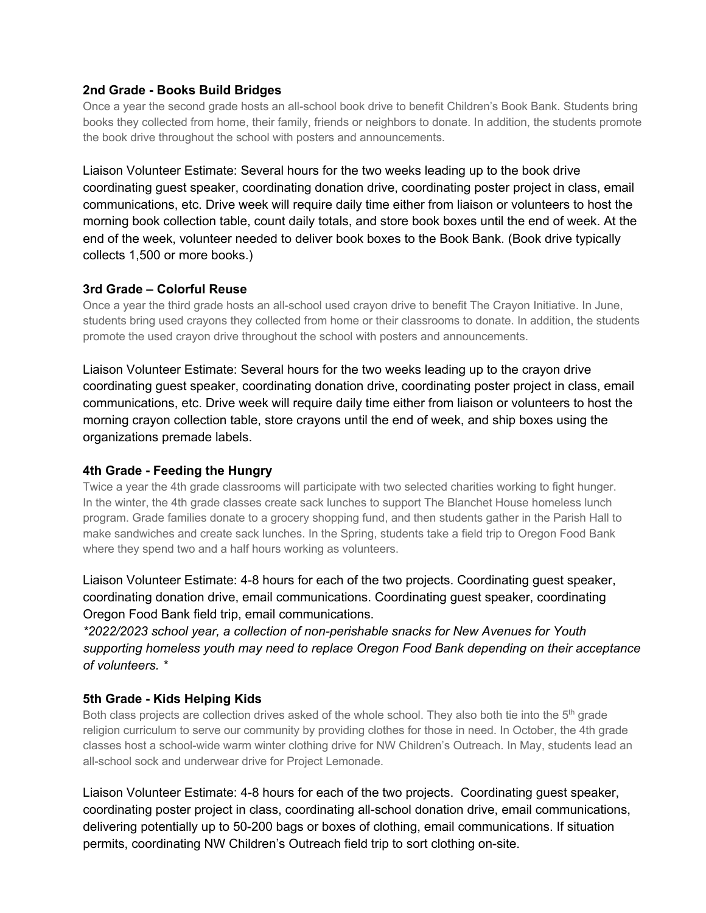#### **2nd Grade - Books Build Bridges**

Once a year the second grade hosts an all-school book drive to benefit Children's Book Bank. Students bring books they collected from home, their family, friends or neighbors to donate. In addition, the students promote the book drive throughout the school with posters and announcements.

Liaison Volunteer Estimate: Several hours for the two weeks leading up to the book drive coordinating guest speaker, coordinating donation drive, coordinating poster project in class, email communications, etc. Drive week will require daily time either from liaison or volunteers to host the morning book collection table, count daily totals, and store book boxes until the end of week. At the end of the week, volunteer needed to deliver book boxes to the Book Bank. (Book drive typically collects 1,500 or more books.)

#### **3rd Grade – Colorful Reuse**

Once a year the third grade hosts an all-school used crayon drive to benefit The Crayon Initiative. In June, students bring used crayons they collected from home or their classrooms to donate. In addition, the students promote the used crayon drive throughout the school with posters and announcements.

Liaison Volunteer Estimate: Several hours for the two weeks leading up to the crayon drive coordinating guest speaker, coordinating donation drive, coordinating poster project in class, email communications, etc. Drive week will require daily time either from liaison or volunteers to host the morning crayon collection table, store crayons until the end of week, and ship boxes using the organizations premade labels.

#### **4th Grade - Feeding the Hungry**

Twice a year the 4th grade classrooms will participate with two selected charities working to fight hunger. In the winter, the 4th grade classes create sack lunches to support The Blanchet House homeless lunch program. Grade families donate to a grocery shopping fund, and then students gather in the Parish Hall to make sandwiches and create sack lunches. In the Spring, students take a field trip to Oregon Food Bank where they spend two and a half hours working as volunteers.

Liaison Volunteer Estimate: 4-8 hours for each of the two projects. Coordinating guest speaker, coordinating donation drive, email communications. Coordinating guest speaker, coordinating Oregon Food Bank field trip, email communications.

*\*2022/2023 school year, a collection of non-perishable snacks for New Avenues for Youth supporting homeless youth may need to replace Oregon Food Bank depending on their acceptance of volunteers. \**

#### **5th Grade - Kids Helping Kids**

Both class projects are collection drives asked of the whole school. They also both tie into the 5<sup>th</sup> grade religion curriculum to serve our community by providing clothes for those in need. In October, the 4th grade classes host a school-wide warm winter clothing drive for NW Children's Outreach. In May, students lead an all-school sock and underwear drive for Project Lemonade.

Liaison Volunteer Estimate: 4-8 hours for each of the two projects. Coordinating guest speaker, coordinating poster project in class, coordinating all-school donation drive, email communications, delivering potentially up to 50-200 bags or boxes of clothing, email communications. If situation permits, coordinating NW Children's Outreach field trip to sort clothing on-site.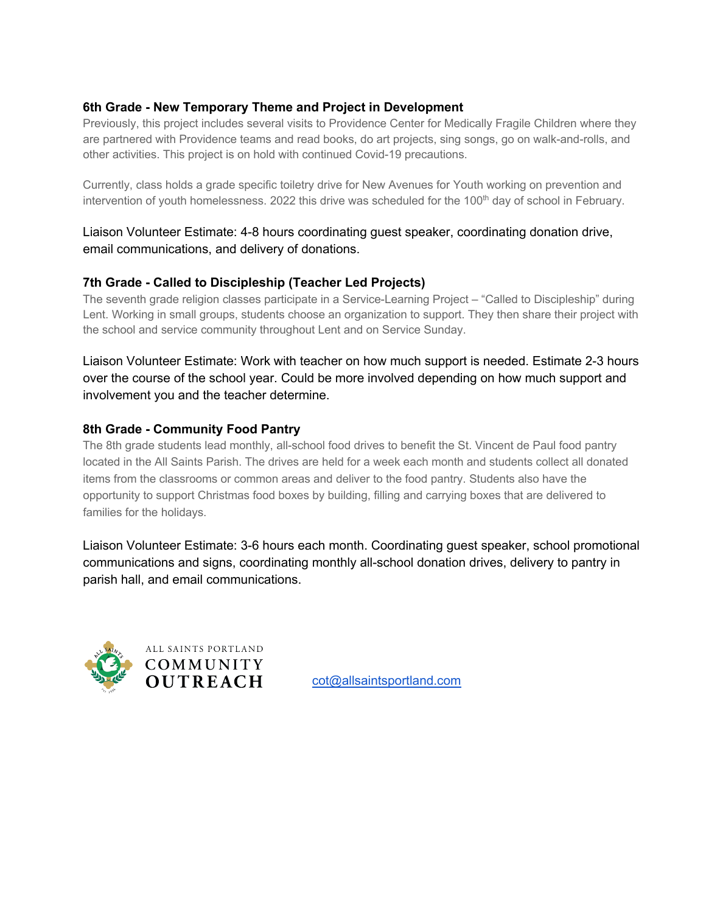# **6th Grade - New Temporary Theme and Project in Development**

Previously, this project includes several visits to Providence Center for Medically Fragile Children where they are partnered with Providence teams and read books, do art projects, sing songs, go on walk-and-rolls, and other activities. This project is on hold with continued Covid-19 precautions.

Currently, class holds a grade specific toiletry drive for New Avenues for Youth working on prevention and intervention of youth homelessness. 2022 this drive was scheduled for the  $100<sup>th</sup>$  day of school in February.

## Liaison Volunteer Estimate: 4-8 hours coordinating guest speaker, coordinating donation drive, email communications, and delivery of donations.

## **7th Grade - Called to Discipleship (Teacher Led Projects)**

The seventh grade religion classes participate in a Service-Learning Project – "Called to Discipleship" during Lent. Working in small groups, students choose an organization to support. They then share their project with the school and service community throughout Lent and on Service Sunday.

Liaison Volunteer Estimate: Work with teacher on how much support is needed. Estimate 2-3 hours over the course of the school year. Could be more involved depending on how much support and involvement you and the teacher determine.

## **8th Grade - Community Food Pantry**

The 8th grade students lead monthly, all-school food drives to benefit the St. Vincent de Paul food pantry located in the All Saints Parish. The drives are held for a week each month and students collect all donated items from the classrooms or common areas and deliver to the food pantry. Students also have the opportunity to support Christmas food boxes by building, filling and carrying boxes that are delivered to families for the holidays.

Liaison Volunteer Estimate: 3-6 hours each month. Coordinating guest speaker, school promotional communications and signs, coordinating monthly all-school donation drives, delivery to pantry in parish hall, and email communications.



**OUTREACH** cot@allsaintsportland.com